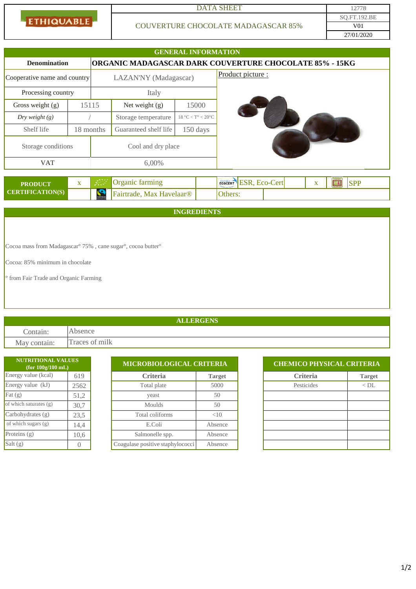ETHIQUABLE

## DATA SHEET 12778

## COUVERTURE CHOCOLATE MADAGASCAR 85%

27/01/2020 SQ.FT.192.BE V01

|                                                                                                  |              |                                          |                         | <b>GENERAL INFORMATION</b> |  |         |                   |                       |  |   |           |            |  |
|--------------------------------------------------------------------------------------------------|--------------|------------------------------------------|-------------------------|----------------------------|--|---------|-------------------|-----------------------|--|---|-----------|------------|--|
| <b>ORGANIC MADAGASCAR DARK COUVERTURE CHOCOLATE 85% - 15KG</b><br><b>Denomination</b>            |              |                                          |                         |                            |  |         |                   |                       |  |   |           |            |  |
| Cooperative name and country                                                                     |              | LAZAN'NY (Madagascar)                    |                         |                            |  |         | Product picture : |                       |  |   |           |            |  |
| Processing country                                                                               |              | Italy                                    |                         |                            |  |         |                   |                       |  |   |           |            |  |
| Gross weight (g)                                                                                 | 15115        |                                          | Net weight (g)<br>15000 |                            |  |         |                   |                       |  |   |           |            |  |
| Dry weight $(g)$                                                                                 |              |                                          | Storage temperature     | $18 °C < T$ ° < $20 °C$    |  |         |                   |                       |  |   |           |            |  |
| Shelf life                                                                                       | 18 months    |                                          | Guaranteed shelf life   | 150 days                   |  |         |                   |                       |  |   |           |            |  |
| Storage conditions                                                                               |              | Cool and dry place                       |                         |                            |  |         |                   |                       |  |   |           |            |  |
| <b>VAT</b>                                                                                       |              | 6,00%                                    |                         |                            |  |         |                   |                       |  |   |           |            |  |
| <b>PRODUCT</b>                                                                                   | $\mathbf{X}$ |                                          | Organic farming         |                            |  |         |                   | ECOCERT ESR, ECO-Cert |  | X | <b>BA</b> | <b>SPP</b> |  |
| <b>CERTIFICATION(S)</b>                                                                          |              | $\mathbf{S}$<br>Fairtrade, Max Havelaar® |                         |                            |  | Others: |                   |                       |  |   |           |            |  |
|                                                                                                  |              |                                          |                         | <b>INGREDIENTS</b>         |  |         |                   |                       |  |   |           |            |  |
|                                                                                                  |              |                                          |                         |                            |  |         |                   |                       |  |   |           |            |  |
|                                                                                                  |              |                                          |                         |                            |  |         |                   |                       |  |   |           |            |  |
| Cocoa mass from Madagascar <sup>o</sup> 75%, cane sugar <sup>o</sup> , cocoa butter <sup>o</sup> |              |                                          |                         |                            |  |         |                   |                       |  |   |           |            |  |

Cocoa: 85% minimum in chocolate

° from Fair Trade and Organic Farming

## **ALLERGENS**

Contain: Absence May contain: Traces of milk

| <b>NUTRITIONAL VALUES</b><br>(for 100g/100 mL) |      |                                  | MICROBIOLOGICAL CRITERIA |  |                 | <b>CHEMICO PHYSICAL CRITERIA</b> |  |  |
|------------------------------------------------|------|----------------------------------|--------------------------|--|-----------------|----------------------------------|--|--|
| Energy value (kcal)                            | 619  | <b>Criteria</b>                  | <b>Target</b>            |  | <b>Criteria</b> | <b>Target</b>                    |  |  |
| Energy value (kJ)                              | 2562 | Total plate                      | 5000                     |  | Pesticides      | $<$ DL                           |  |  |
| Fat $(g)$                                      | 51,2 | yeast                            | 50                       |  |                 |                                  |  |  |
| of which saturates (g)                         | 30,7 | Moulds                           | 50                       |  |                 |                                  |  |  |
| Carbohydrates $(g)$                            | 23,5 | Total coliforms                  | <10                      |  |                 |                                  |  |  |
| of which sugars (g)                            | 14,4 | E.Coli                           | Absence                  |  |                 |                                  |  |  |
| Proteins $(g)$                                 | 10.6 | Salmonelle spp.                  | Absence                  |  |                 |                                  |  |  |
| Salt $(g)$                                     |      | Coagulase positive staphylococci | Absence                  |  |                 |                                  |  |  |

| UHEMILU PHYSIUAL UKHEKIA |               |  |  |  |  |  |  |  |
|--------------------------|---------------|--|--|--|--|--|--|--|
| <b>Criteria</b>          | <b>Target</b> |  |  |  |  |  |  |  |
| Pesticides               | $<$ DL        |  |  |  |  |  |  |  |
|                          |               |  |  |  |  |  |  |  |
|                          |               |  |  |  |  |  |  |  |
|                          |               |  |  |  |  |  |  |  |
|                          |               |  |  |  |  |  |  |  |